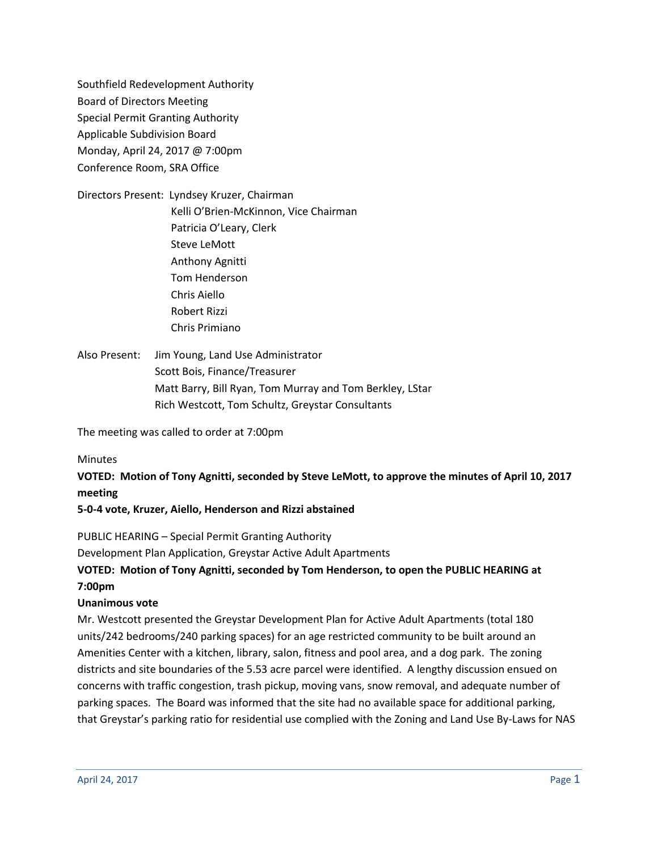Southfield Redevelopment Authority Board of Directors Meeting Special Permit Granting Authority Applicable Subdivision Board Monday, April 24, 2017 @ 7:00pm Conference Room, SRA Office

Directors Present: Lyndsey Kruzer, Chairman Kelli O'Brien-McKinnon, Vice Chairman Patricia O'Leary, Clerk Steve LeMott Anthony Agnitti Tom Henderson Chris Aiello Robert Rizzi Chris Primiano

Also Present: Jim Young, Land Use Administrator Scott Bois, Finance/Treasurer Matt Barry, Bill Ryan, Tom Murray and Tom Berkley, LStar Rich Westcott, Tom Schultz, Greystar Consultants

The meeting was called to order at 7:00pm

### Minutes

**VOTED: Motion of Tony Agnitti, seconded by Steve LeMott, to approve the minutes of April 10, 2017 meeting**

### **5-0-4 vote, Kruzer, Aiello, Henderson and Rizzi abstained**

PUBLIC HEARING – Special Permit Granting Authority

Development Plan Application, Greystar Active Adult Apartments

# **VOTED: Motion of Tony Agnitti, seconded by Tom Henderson, to open the PUBLIC HEARING at 7:00pm**

### **Unanimous vote**

Mr. Westcott presented the Greystar Development Plan for Active Adult Apartments (total 180 units/242 bedrooms/240 parking spaces) for an age restricted community to be built around an Amenities Center with a kitchen, library, salon, fitness and pool area, and a dog park. The zoning districts and site boundaries of the 5.53 acre parcel were identified. A lengthy discussion ensued on concerns with traffic congestion, trash pickup, moving vans, snow removal, and adequate number of parking spaces. The Board was informed that the site had no available space for additional parking, that Greystar's parking ratio for residential use complied with the Zoning and Land Use By-Laws for NAS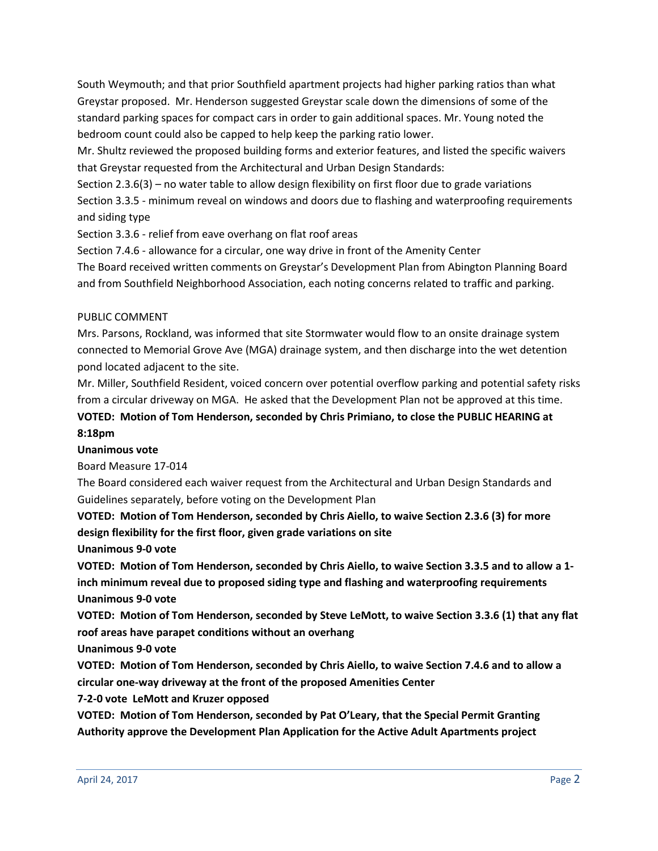South Weymouth; and that prior Southfield apartment projects had higher parking ratios than what Greystar proposed. Mr. Henderson suggested Greystar scale down the dimensions of some of the standard parking spaces for compact cars in order to gain additional spaces. Mr. Young noted the bedroom count could also be capped to help keep the parking ratio lower.

Mr. Shultz reviewed the proposed building forms and exterior features, and listed the specific waivers that Greystar requested from the Architectural and Urban Design Standards:

Section 2.3.6(3) – no water table to allow design flexibility on first floor due to grade variations Section 3.3.5 - minimum reveal on windows and doors due to flashing and waterproofing requirements and siding type

Section 3.3.6 - relief from eave overhang on flat roof areas

Section 7.4.6 - allowance for a circular, one way drive in front of the Amenity Center

The Board received written comments on Greystar's Development Plan from Abington Planning Board and from Southfield Neighborhood Association, each noting concerns related to traffic and parking.

### PUBLIC COMMENT

Mrs. Parsons, Rockland, was informed that site Stormwater would flow to an onsite drainage system connected to Memorial Grove Ave (MGA) drainage system, and then discharge into the wet detention pond located adjacent to the site.

Mr. Miller, Southfield Resident, voiced concern over potential overflow parking and potential safety risks from a circular driveway on MGA. He asked that the Development Plan not be approved at this time.

**VOTED: Motion of Tom Henderson, seconded by Chris Primiano, to close the PUBLIC HEARING at 8:18pm**

### **Unanimous vote**

Board Measure 17-014

The Board considered each waiver request from the Architectural and Urban Design Standards and Guidelines separately, before voting on the Development Plan

# **VOTED: Motion of Tom Henderson, seconded by Chris Aiello, to waive Section 2.3.6 (3) for more design flexibility for the first floor, given grade variations on site**

**Unanimous 9-0 vote**

**VOTED: Motion of Tom Henderson, seconded by Chris Aiello, to waive Section 3.3.5 and to allow a 1 inch minimum reveal due to proposed siding type and flashing and waterproofing requirements Unanimous 9-0 vote**

**VOTED: Motion of Tom Henderson, seconded by Steve LeMott, to waive Section 3.3.6 (1) that any flat roof areas have parapet conditions without an overhang**

**Unanimous 9-0 vote**

**VOTED: Motion of Tom Henderson, seconded by Chris Aiello, to waive Section 7.4.6 and to allow a circular one-way driveway at the front of the proposed Amenities Center**

**7-2-0 vote LeMott and Kruzer opposed**

**VOTED: Motion of Tom Henderson, seconded by Pat O'Leary, that the Special Permit Granting Authority approve the Development Plan Application for the Active Adult Apartments project**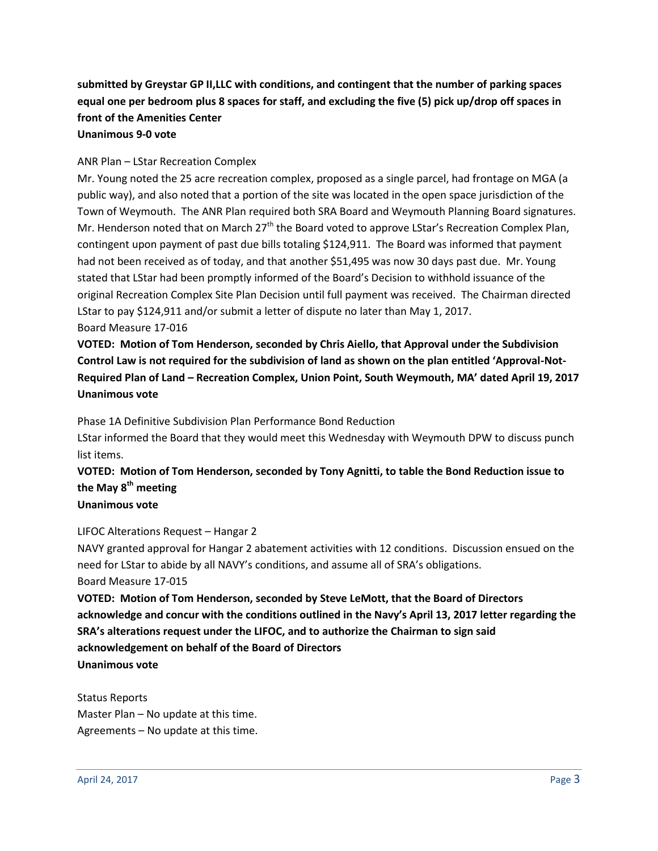# **submitted by Greystar GP II,LLC with conditions, and contingent that the number of parking spaces equal one per bedroom plus 8 spaces for staff, and excluding the five (5) pick up/drop off spaces in front of the Amenities Center**

#### **Unanimous 9-0 vote**

### ANR Plan – LStar Recreation Complex

Mr. Young noted the 25 acre recreation complex, proposed as a single parcel, had frontage on MGA (a public way), and also noted that a portion of the site was located in the open space jurisdiction of the Town of Weymouth. The ANR Plan required both SRA Board and Weymouth Planning Board signatures. Mr. Henderson noted that on March 27<sup>th</sup> the Board voted to approve LStar's Recreation Complex Plan, contingent upon payment of past due bills totaling \$124,911. The Board was informed that payment had not been received as of today, and that another \$51,495 was now 30 days past due. Mr. Young stated that LStar had been promptly informed of the Board's Decision to withhold issuance of the original Recreation Complex Site Plan Decision until full payment was received. The Chairman directed LStar to pay \$124,911 and/or submit a letter of dispute no later than May 1, 2017. Board Measure 17-016

**VOTED: Motion of Tom Henderson, seconded by Chris Aiello, that Approval under the Subdivision Control Law is not required for the subdivision of land as shown on the plan entitled 'Approval-Not-Required Plan of Land – Recreation Complex, Union Point, South Weymouth, MA' dated April 19, 2017 Unanimous vote**

Phase 1A Definitive Subdivision Plan Performance Bond Reduction

LStar informed the Board that they would meet this Wednesday with Weymouth DPW to discuss punch list items.

# **VOTED: Motion of Tom Henderson, seconded by Tony Agnitti, to table the Bond Reduction issue to the May 8th meeting**

## **Unanimous vote**

LIFOC Alterations Request – Hangar 2

NAVY granted approval for Hangar 2 abatement activities with 12 conditions. Discussion ensued on the need for LStar to abide by all NAVY's conditions, and assume all of SRA's obligations. Board Measure 17-015

**VOTED: Motion of Tom Henderson, seconded by Steve LeMott, that the Board of Directors acknowledge and concur with the conditions outlined in the Navy's April 13, 2017 letter regarding the SRA's alterations request under the LIFOC, and to authorize the Chairman to sign said acknowledgement on behalf of the Board of Directors Unanimous vote**

Status Reports Master Plan – No update at this time. Agreements – No update at this time.